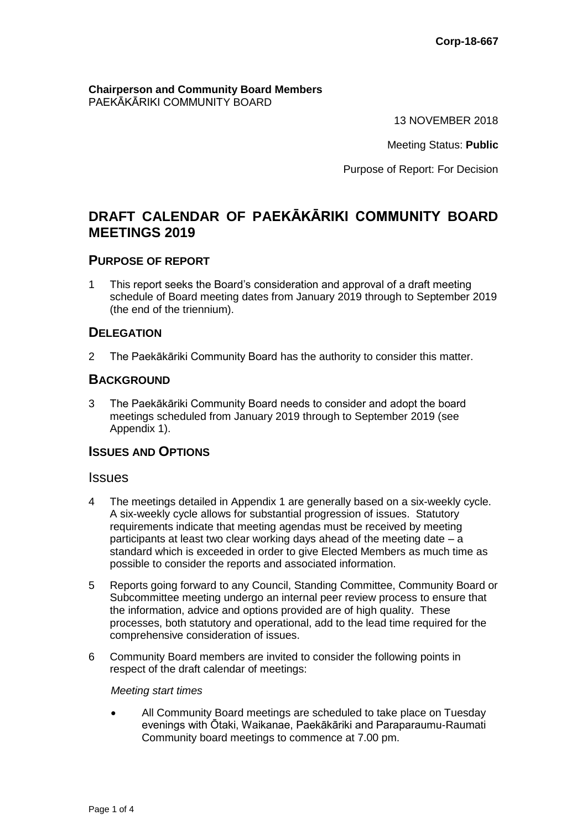#### **Chairperson and Community Board Members** PAEKĀKĀRIKI COMMUNITY BOARD

13 NOVEMBER 2018

Meeting Status: **Public**

Purpose of Report: For Decision

# **DRAFT CALENDAR OF PAEKĀKĀRIKI COMMUNITY BOARD MEETINGS 2019**

# **PURPOSE OF REPORT**

1 This report seeks the Board's consideration and approval of a draft meeting schedule of Board meeting dates from January 2019 through to September 2019 (the end of the triennium).

# **DELEGATION**

2 The Paekākāriki Community Board has the authority to consider this matter.

# **BACKGROUND**

3 The Paekākāriki Community Board needs to consider and adopt the board meetings scheduled from January 2019 through to September 2019 (see Appendix 1).

# **ISSUES AND OPTIONS**

#### **Issues**

- 4 The meetings detailed in Appendix 1 are generally based on a six-weekly cycle. A six-weekly cycle allows for substantial progression of issues. Statutory requirements indicate that meeting agendas must be received by meeting participants at least two clear working days ahead of the meeting date – a standard which is exceeded in order to give Elected Members as much time as possible to consider the reports and associated information.
- 5 Reports going forward to any Council, Standing Committee, Community Board or Subcommittee meeting undergo an internal peer review process to ensure that the information, advice and options provided are of high quality. These processes, both statutory and operational, add to the lead time required for the comprehensive consideration of issues.
- 6 Community Board members are invited to consider the following points in respect of the draft calendar of meetings:

#### *Meeting start times*

 All Community Board meetings are scheduled to take place on Tuesday evenings with Ōtaki, Waikanae, Paekākāriki and Paraparaumu-Raumati Community board meetings to commence at 7.00 pm.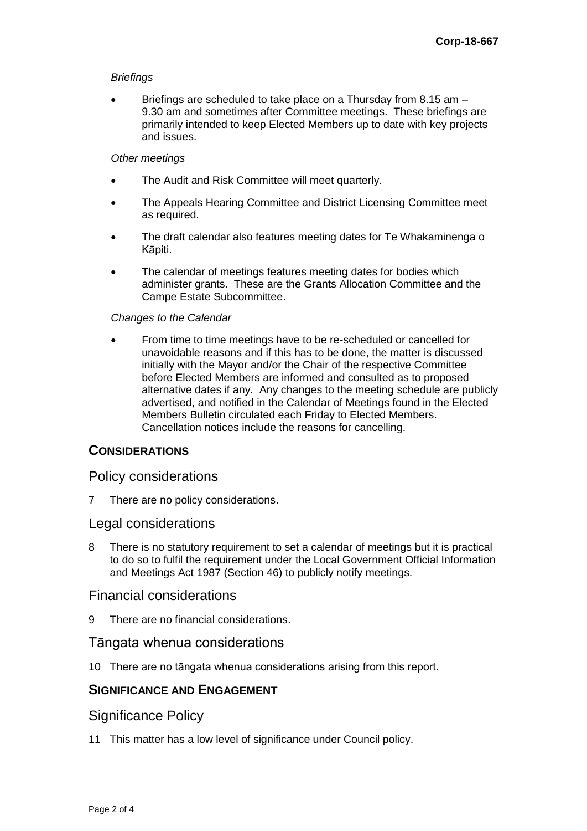#### *Briefings*

 Briefings are scheduled to take place on a Thursday from 8.15 am – 9.30 am and sometimes after Committee meetings. These briefings are primarily intended to keep Elected Members up to date with key projects and issues.

#### *Other meetings*

- The Audit and Risk Committee will meet quarterly.
- The Appeals Hearing Committee and District Licensing Committee meet as required.
- The draft calendar also features meeting dates for Te Whakaminenga o Kāpiti.
- The calendar of meetings features meeting dates for bodies which administer grants. These are the Grants Allocation Committee and the Campe Estate Subcommittee.

#### *Changes to the Calendar*

 From time to time meetings have to be re-scheduled or cancelled for unavoidable reasons and if this has to be done, the matter is discussed initially with the Mayor and/or the Chair of the respective Committee before Elected Members are informed and consulted as to proposed alternative dates if any. Any changes to the meeting schedule are publicly advertised, and notified in the Calendar of Meetings found in the Elected Members Bulletin circulated each Friday to Elected Members. Cancellation notices include the reasons for cancelling.

# **CONSIDERATIONS**

#### Policy considerations

7 There are no policy considerations.

#### Legal considerations

8 There is no statutory requirement to set a calendar of meetings but it is practical to do so to fulfil the requirement under the Local Government Official Information and Meetings Act 1987 (Section 46) to publicly notify meetings.

#### Financial considerations

9 There are no financial considerations.

#### Tāngata whenua considerations

10 There are no tāngata whenua considerations arising from this report.

#### **SIGNIFICANCE AND ENGAGEMENT**

#### Significance Policy

11 This matter has a low level of significance under Council policy.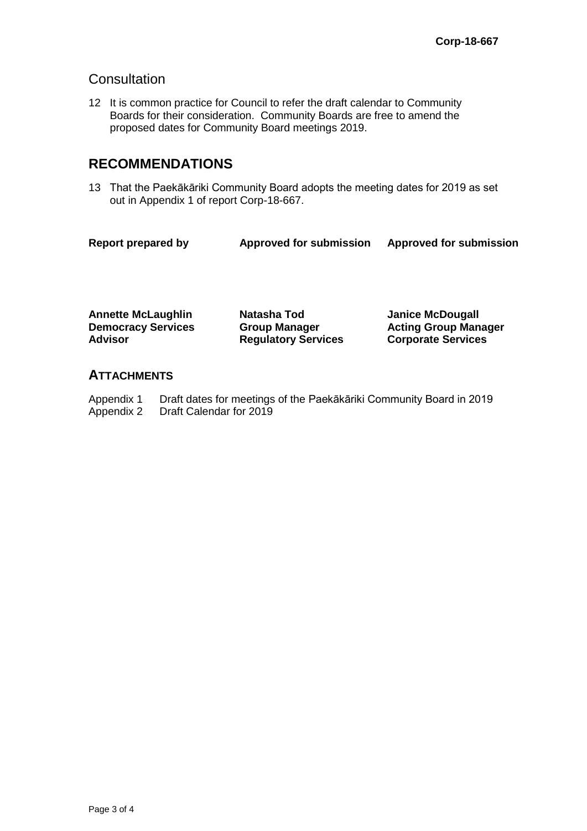# **Consultation**

12 It is common practice for Council to refer the draft calendar to Community Boards for their consideration. Community Boards are free to amend the proposed dates for Community Board meetings 2019.

# **RECOMMENDATIONS**

13 That the Paekākāriki Community Board adopts the meeting dates for 2019 as set out in Appendix 1 of report Corp-18-667.

| <b>Report prepared by</b> | <b>Approved for submission</b> | <b>Approved for submission</b> |
|---------------------------|--------------------------------|--------------------------------|
|                           |                                |                                |

**Annette McLaughlin Natasha Tod Janice McDougall Democracy Services Advisor**

**Group Manager Regulatory Services** **Acting Group Manager Corporate Services**

# **ATTACHMENTS**

Appendix 1 Draft dates for meetings of the Paekākāriki Community Board in 2019<br>Appendix 2 Draft Calendar for 2019 Draft Calendar for 2019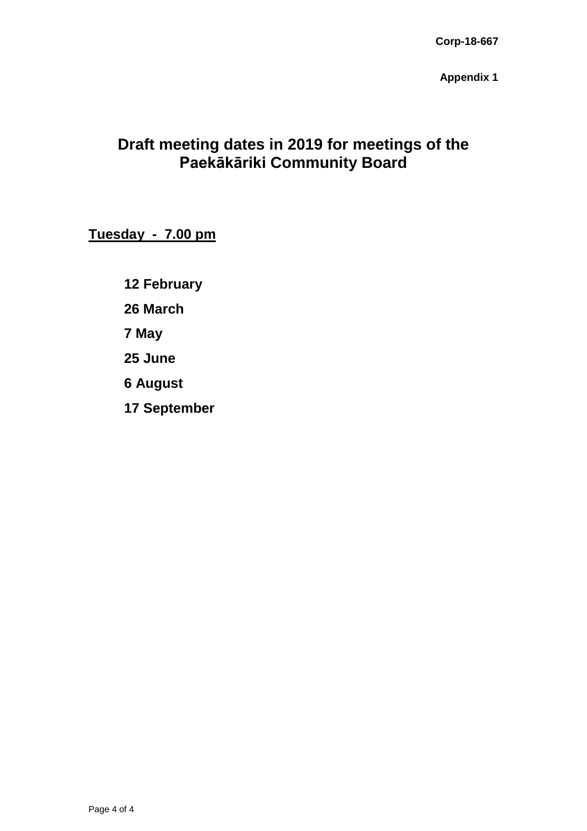**Appendix 1**

# **Draft meeting dates in 2019 for meetings of the Paekākāriki Community Board**

**Tuesday - 7.00 pm**

**12 February 26 March 7 May 25 June 6 August 17 September**